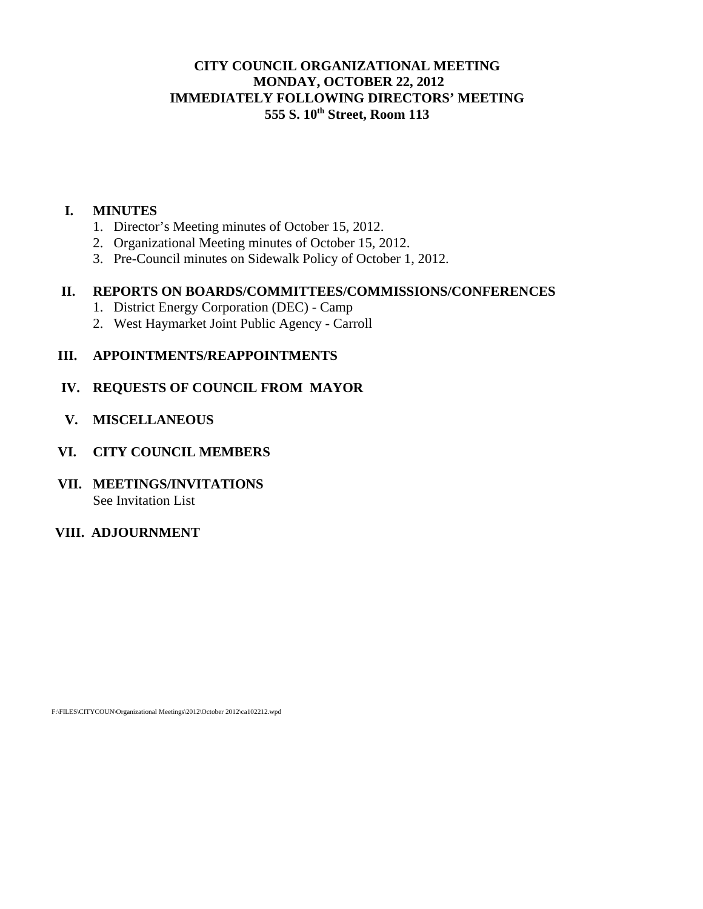## **CITY COUNCIL ORGANIZATIONAL MEETING MONDAY, OCTOBER 22, 2012 IMMEDIATELY FOLLOWING DIRECTORS' MEETING 555 S. 10th Street, Room 113**

#### **I. MINUTES**

- 1. Director's Meeting minutes of October 15, 2012.
- 2. Organizational Meeting minutes of October 15, 2012.
- 3. Pre-Council minutes on Sidewalk Policy of October 1, 2012.

#### **II. REPORTS ON BOARDS/COMMITTEES/COMMISSIONS/CONFERENCES**

- 1. District Energy Corporation (DEC) Camp
- 2. West Haymarket Joint Public Agency Carroll

#### **III. APPOINTMENTS/REAPPOINTMENTS**

#### **IV. REQUESTS OF COUNCIL FROM MAYOR**

 **V. MISCELLANEOUS** 

#### **VI. CITY COUNCIL MEMBERS**

#### **VII. MEETINGS/INVITATIONS**  See Invitation List

# **VIII. ADJOURNMENT**

F:\FILES\CITYCOUN\Organizational Meetings\2012\October 2012\ca102212.wpd